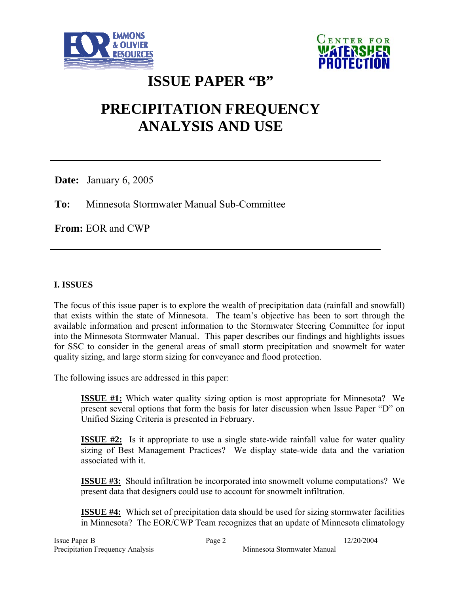



# **ISSUE PAPER "B"**

# **PRECIPITATION FREQUENCY ANALYSIS AND USE**

**Date:** January 6, 2005

**To:** Minnesota Stormwater Manual Sub-Committee

**From:** EOR and CWP

# **I. ISSUES**

The focus of this issue paper is to explore the wealth of precipitation data (rainfall and snowfall) that exists within the state of Minnesota. The team's objective has been to sort through the available information and present information to the Stormwater Steering Committee for input into the Minnesota Stormwater Manual. This paper describes our findings and highlights issues for SSC to consider in the general areas of small storm precipitation and snowmelt for water quality sizing, and large storm sizing for conveyance and flood protection.

The following issues are addressed in this paper:

**ISSUE #1:** Which water quality sizing option is most appropriate for Minnesota? We present several options that form the basis for later discussion when Issue Paper "D" on Unified Sizing Criteria is presented in February.

**ISSUE #2:** Is it appropriate to use a single state-wide rainfall value for water quality sizing of Best Management Practices? We display state-wide data and the variation associated with it.

**ISSUE #3:** Should infiltration be incorporated into snowmelt volume computations? We present data that designers could use to account for snowmelt infiltration.

**ISSUE #4:** Which set of precipitation data should be used for sizing stormwater facilities in Minnesota? The EOR/CWP Team recognizes that an update of Minnesota climatology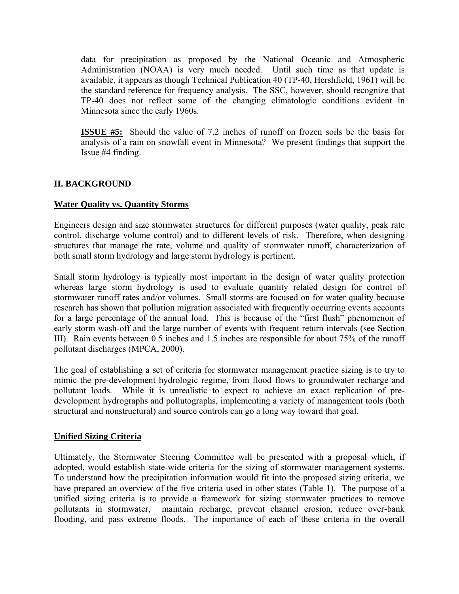data for precipitation as proposed by the National Oceanic and Atmospheric Administration (NOAA) is very much needed. Until such time as that update is available, it appears as though Technical Publication 40 (TP-40, Hershfield, 1961) will be the standard reference for frequency analysis. The SSC, however, should recognize that TP-40 does not reflect some of the changing climatologic conditions evident in Minnesota since the early 1960s.

**ISSUE #5:** Should the value of 7.2 inches of runoff on frozen soils be the basis for analysis of a rain on snowfall event in Minnesota? We present findings that support the Issue #4 finding.

# **II. BACKGROUND**

#### **Water Quality vs. Quantity Storms**

Engineers design and size stormwater structures for different purposes (water quality, peak rate control, discharge volume control) and to different levels of risk. Therefore, when designing structures that manage the rate, volume and quality of stormwater runoff, characterization of both small storm hydrology and large storm hydrology is pertinent.

Small storm hydrology is typically most important in the design of water quality protection whereas large storm hydrology is used to evaluate quantity related design for control of stormwater runoff rates and/or volumes. Small storms are focused on for water quality because research has shown that pollution migration associated with frequently occurring events accounts for a large percentage of the annual load. This is because of the "first flush" phenomenon of early storm wash-off and the large number of events with frequent return intervals (see Section III). Rain events between 0.5 inches and 1.5 inches are responsible for about 75% of the runoff pollutant discharges (MPCA, 2000).

The goal of establishing a set of criteria for stormwater management practice sizing is to try to mimic the pre-development hydrologic regime, from flood flows to groundwater recharge and pollutant loads. While it is unrealistic to expect to achieve an exact replication of predevelopment hydrographs and pollutographs, implementing a variety of management tools (both structural and nonstructural) and source controls can go a long way toward that goal.

#### **Unified Sizing Criteria**

Ultimately, the Stormwater Steering Committee will be presented with a proposal which, if adopted, would establish state-wide criteria for the sizing of stormwater management systems. To understand how the precipitation information would fit into the proposed sizing criteria, we have prepared an overview of the five criteria used in other states (Table 1). The purpose of a unified sizing criteria is to provide a framework for sizing stormwater practices to remove pollutants in stormwater, maintain recharge, prevent channel erosion, reduce over-bank flooding, and pass extreme floods. The importance of each of these criteria in the overall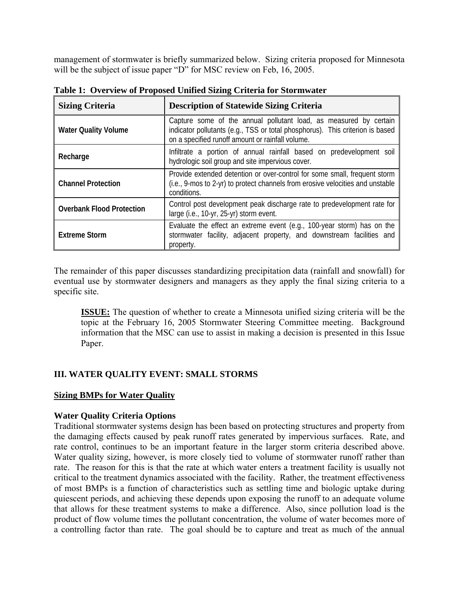management of stormwater is briefly summarized below. Sizing criteria proposed for Minnesota will be the subject of issue paper "D" for MSC review on Feb, 16, 2005.

| <b>Sizing Criteria</b>           | <b>Description of Statewide Sizing Criteria</b>                                                                                                                                                        |  |  |
|----------------------------------|--------------------------------------------------------------------------------------------------------------------------------------------------------------------------------------------------------|--|--|
| <b>Water Quality Volume</b>      | Capture some of the annual pollutant load, as measured by certain<br>indicator pollutants (e.g., TSS or total phosphorus). This criterion is based<br>on a specified runoff amount or rainfall volume. |  |  |
| Recharge                         | Infiltrate a portion of annual rainfall based on predevelopment soil<br>hydrologic soil group and site impervious cover.                                                                               |  |  |
| <b>Channel Protection</b>        | Provide extended detention or over-control for some small, frequent storm<br>(i.e., 9-mos to 2-yr) to protect channels from erosive velocities and unstable<br>conditions.                             |  |  |
| <b>Overbank Flood Protection</b> | Control post development peak discharge rate to predevelopment rate for<br>large (i.e., 10-yr, 25-yr) storm event.                                                                                     |  |  |
| <b>Extreme Storm</b>             | Evaluate the effect an extreme event (e.g., 100-year storm) has on the<br>stormwater facility, adjacent property, and downstream facilities and<br>property.                                           |  |  |

**Table 1: Overview of Proposed Unified Sizing Criteria for Stormwater** 

The remainder of this paper discusses standardizing precipitation data (rainfall and snowfall) for eventual use by stormwater designers and managers as they apply the final sizing criteria to a specific site.

**ISSUE:** The question of whether to create a Minnesota unified sizing criteria will be the topic at the February 16, 2005 Stormwater Steering Committee meeting. Background information that the MSC can use to assist in making a decision is presented in this Issue Paper.

#### **III. WATER QUALITY EVENT: SMALL STORMS**

#### **Sizing BMPs for Water Quality**

#### **Water Quality Criteria Options**

Traditional stormwater systems design has been based on protecting structures and property from the damaging effects caused by peak runoff rates generated by impervious surfaces. Rate, and rate control, continues to be an important feature in the larger storm criteria described above. Water quality sizing, however, is more closely tied to volume of stormwater runoff rather than rate. The reason for this is that the rate at which water enters a treatment facility is usually not critical to the treatment dynamics associated with the facility. Rather, the treatment effectiveness of most BMPs is a function of characteristics such as settling time and biologic uptake during quiescent periods, and achieving these depends upon exposing the runoff to an adequate volume that allows for these treatment systems to make a difference. Also, since pollution load is the product of flow volume times the pollutant concentration, the volume of water becomes more of a controlling factor than rate. The goal should be to capture and treat as much of the annual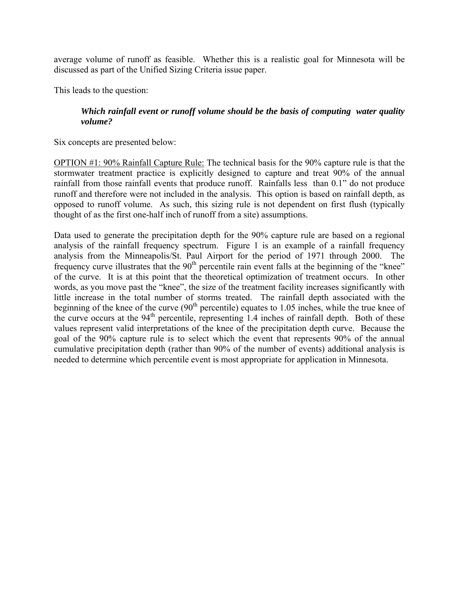average volume of runoff as feasible. Whether this is a realistic goal for Minnesota will be discussed as part of the Unified Sizing Criteria issue paper.

This leads to the question:

#### *Which rainfall event or runoff volume should be the basis of computing water quality volume?*

Six concepts are presented below:

OPTION #1: 90% Rainfall Capture Rule: The technical basis for the 90% capture rule is that the stormwater treatment practice is explicitly designed to capture and treat 90% of the annual rainfall from those rainfall events that produce runoff. Rainfalls less than 0.1" do not produce runoff and therefore were not included in the analysis. This option is based on rainfall depth, as opposed to runoff volume. As such, this sizing rule is not dependent on first flush (typically thought of as the first one-half inch of runoff from a site) assumptions.

Data used to generate the precipitation depth for the 90% capture rule are based on a regional analysis of the rainfall frequency spectrum. Figure 1 is an example of a rainfall frequency analysis from the Minneapolis/St. Paul Airport for the period of 1971 through 2000. The frequency curve illustrates that the  $90<sup>th</sup>$  percentile rain event falls at the beginning of the "knee" of the curve. It is at this point that the theoretical optimization of treatment occurs. In other words, as you move past the "knee", the size of the treatment facility increases significantly with little increase in the total number of storms treated. The rainfall depth associated with the beginning of the knee of the curve  $(90<sup>th</sup>$  percentile) equates to 1.05 inches, while the true knee of the curve occurs at the  $94<sup>th</sup>$  percentile, representing 1.4 inches of rainfall depth. Both of these values represent valid interpretations of the knee of the precipitation depth curve. Because the goal of the 90% capture rule is to select which the event that represents 90% of the annual cumulative precipitation depth (rather than 90% of the number of events) additional analysis is needed to determine which percentile event is most appropriate for application in Minnesota.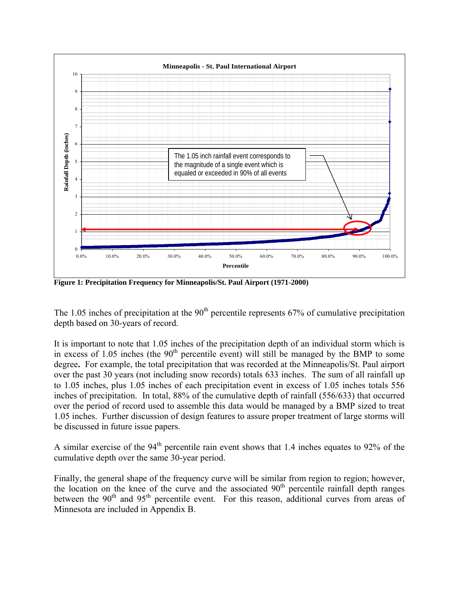

**Figure 1: Precipitation Frequency for Minneapolis/St. Paul Airport (1971-2000)**

The 1.05 inches of precipitation at the  $90<sup>th</sup>$  percentile represents 67% of cumulative precipitation depth based on 30-years of record.

It is important to note that 1.05 inches of the precipitation depth of an individual storm which is in excess of 1.05 inches (the  $90<sup>th</sup>$  percentile event) will still be managed by the BMP to some degree**.** For example, the total precipitation that was recorded at the Minneapolis/St. Paul airport over the past 30 years (not including snow records) totals 633 inches. The sum of all rainfall up to 1.05 inches, plus 1.05 inches of each precipitation event in excess of 1.05 inches totals 556 inches of precipitation. In total, 88% of the cumulative depth of rainfall (556/633) that occurred over the period of record used to assemble this data would be managed by a BMP sized to treat 1.05 inches. Further discussion of design features to assure proper treatment of large storms will be discussed in future issue papers.

A similar exercise of the  $94<sup>th</sup>$  percentile rain event shows that 1.4 inches equates to 92% of the cumulative depth over the same 30-year period.

Finally, the general shape of the frequency curve will be similar from region to region; however, the location on the knee of the curve and the associated  $90<sup>th</sup>$  percentile rainfall depth ranges between the  $90<sup>th</sup>$  and  $95<sup>th</sup>$  percentile event. For this reason, additional curves from areas of Minnesota are included in Appendix B.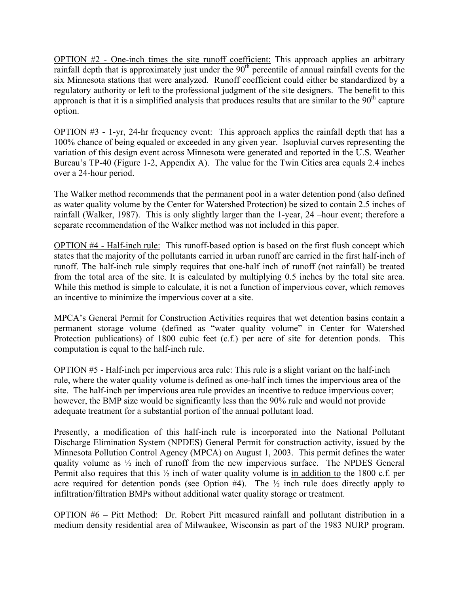OPTION #2 - One-inch times the site runoff coefficient: This approach applies an arbitrary rainfall depth that is approximately just under the 90<sup>th</sup> percentile of annual rainfall events for the six Minnesota stations that were analyzed. Runoff coefficient could either be standardized by a regulatory authority or left to the professional judgment of the site designers. The benefit to this approach is that it is a simplified analysis that produces results that are similar to the  $90<sup>th</sup>$  capture option.

OPTION #3 - 1-yr, 24-hr frequency event: This approach applies the rainfall depth that has a 100% chance of being equaled or exceeded in any given year. Isopluvial curves representing the variation of this design event across Minnesota were generated and reported in the U.S. Weather Bureau's TP-40 (Figure 1-2, Appendix A). The value for the Twin Cities area equals 2.4 inches over a 24-hour period.

The Walker method recommends that the permanent pool in a water detention pond (also defined as water quality volume by the Center for Watershed Protection) be sized to contain 2.5 inches of rainfall (Walker, 1987). This is only slightly larger than the 1-year, 24 –hour event; therefore a separate recommendation of the Walker method was not included in this paper.

OPTION #4 - Half-inch rule: This runoff-based option is based on the first flush concept which states that the majority of the pollutants carried in urban runoff are carried in the first half-inch of runoff. The half-inch rule simply requires that one-half inch of runoff (not rainfall) be treated from the total area of the site. It is calculated by multiplying 0.5 inches by the total site area. While this method is simple to calculate, it is not a function of impervious cover, which removes an incentive to minimize the impervious cover at a site.

MPCA's General Permit for Construction Activities requires that wet detention basins contain a permanent storage volume (defined as "water quality volume" in Center for Watershed Protection publications) of 1800 cubic feet (c.f.) per acre of site for detention ponds. This computation is equal to the half-inch rule.

OPTION #5 - Half-inch per impervious area rule: This rule is a slight variant on the half-inch rule, where the water quality volume is defined as one-half inch times the impervious area of the site. The half-inch per impervious area rule provides an incentive to reduce impervious cover; however, the BMP size would be significantly less than the 90% rule and would not provide adequate treatment for a substantial portion of the annual pollutant load.

Presently, a modification of this half-inch rule is incorporated into the National Pollutant Discharge Elimination System (NPDES) General Permit for construction activity, issued by the Minnesota Pollution Control Agency (MPCA) on August 1, 2003. This permit defines the water quality volume as ½ inch of runoff from the new impervious surface. The NPDES General Permit also requires that this ½ inch of water quality volume is in addition to the 1800 c.f. per acre required for detention ponds (see Option  $#4$ ). The  $\frac{1}{2}$  inch rule does directly apply to infiltration/filtration BMPs without additional water quality storage or treatment.

OPTION #6 – Pitt Method: Dr. Robert Pitt measured rainfall and pollutant distribution in a medium density residential area of Milwaukee, Wisconsin as part of the 1983 NURP program.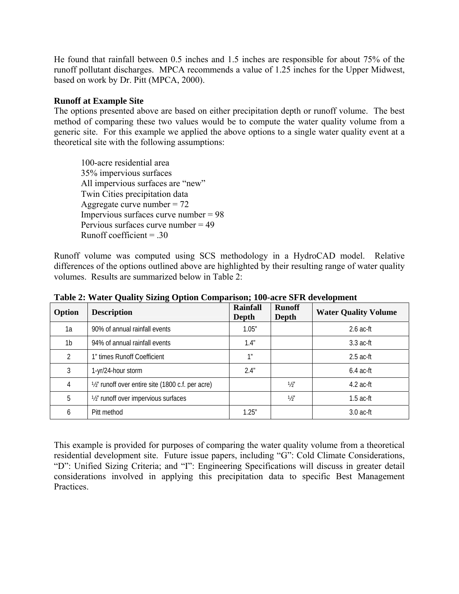He found that rainfall between 0.5 inches and 1.5 inches are responsible for about 75% of the runoff pollutant discharges. MPCA recommends a value of 1.25 inches for the Upper Midwest, based on work by Dr. Pitt (MPCA, 2000).

#### **Runoff at Example Site**

The options presented above are based on either precipitation depth or runoff volume. The best method of comparing these two values would be to compute the water quality volume from a generic site. For this example we applied the above options to a single water quality event at a theoretical site with the following assumptions:

100-acre residential area 35% impervious surfaces All impervious surfaces are "new" Twin Cities precipitation data Aggregate curve number  $= 72$  Impervious surfaces curve number = 98 Pervious surfaces curve number  $= 49$ Runoff coefficient  $= .30$ 

Runoff volume was computed using SCS methodology in a HydroCAD model. Relative differences of the options outlined above are highlighted by their resulting range of water quality volumes. Results are summarized below in Table 2:

| Option         | <b>Description</b>                                | <b>Rainfall</b><br>Depth | <b>Runoff</b><br>Depth | <b>Water Quality Volume</b> |
|----------------|---------------------------------------------------|--------------------------|------------------------|-----------------------------|
| 1a             | 90% of annual rainfall events                     | 1.05"                    |                        | $2.6$ ac-ft                 |
| 1 <sub>b</sub> | 94% of annual rainfall events                     | 1.4"                     |                        | $3.3$ ac-ft                 |
| $\mathfrak{D}$ | 1" times Runoff Coefficient                       | 1 <sup>n</sup>           |                        | $2.5$ ac-ft                 |
| 3              | 1-yr/24-hour storm                                | 2.4"                     |                        | $6.4$ ac-ft                 |
| 4              | 1/2" runoff over entire site (1800 c.f. per acre) |                          | $\frac{1}{2}$          | $4.2$ ac-ft                 |
| 5              | 1/2" runoff over impervious surfaces              |                          | $\frac{1}{2}$          | $1.5$ ac-ft                 |
| 6              | Pitt method                                       | 1.25"                    |                        | $3.0$ ac-ft                 |

**Table 2: Water Quality Sizing Option Comparison; 100-acre SFR development** 

This example is provided for purposes of comparing the water quality volume from a theoretical residential development site. Future issue papers, including "G": Cold Climate Considerations, "D": Unified Sizing Criteria; and "I": Engineering Specifications will discuss in greater detail considerations involved in applying this precipitation data to specific Best Management Practices.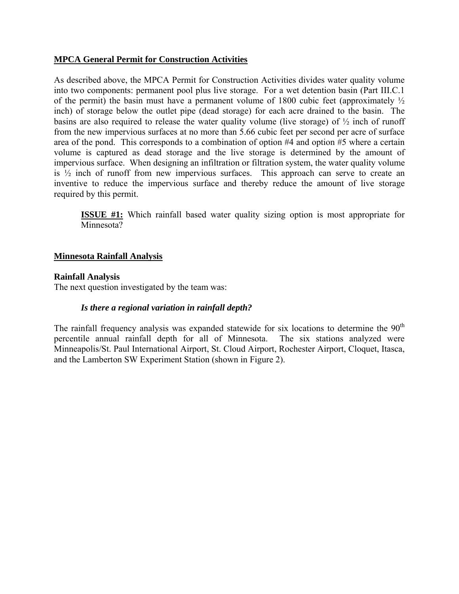#### **MPCA General Permit for Construction Activities**

As described above, the MPCA Permit for Construction Activities divides water quality volume into two components: permanent pool plus live storage. For a wet detention basin (Part III.C.1 of the permit) the basin must have a permanent volume of 1800 cubic feet (approximately  $\frac{1}{2}$ ) inch) of storage below the outlet pipe (dead storage) for each acre drained to the basin. The basins are also required to release the water quality volume (live storage) of  $\frac{1}{2}$  inch of runoff from the new impervious surfaces at no more than 5.66 cubic feet per second per acre of surface area of the pond. This corresponds to a combination of option #4 and option #5 where a certain volume is captured as dead storage and the live storage is determined by the amount of impervious surface. When designing an infiltration or filtration system, the water quality volume is ½ inch of runoff from new impervious surfaces. This approach can serve to create an inventive to reduce the impervious surface and thereby reduce the amount of live storage required by this permit.

**ISSUE #1:** Which rainfall based water quality sizing option is most appropriate for Minnesota?

#### **Minnesota Rainfall Analysis**

#### **Rainfall Analysis**

The next question investigated by the team was:

#### *Is there a regional variation in rainfall depth?*

The rainfall frequency analysis was expanded statewide for six locations to determine the  $90<sup>th</sup>$ percentile annual rainfall depth for all of Minnesota. The six stations analyzed were Minneapolis/St. Paul International Airport, St. Cloud Airport, Rochester Airport, Cloquet, Itasca, and the Lamberton SW Experiment Station (shown in Figure 2).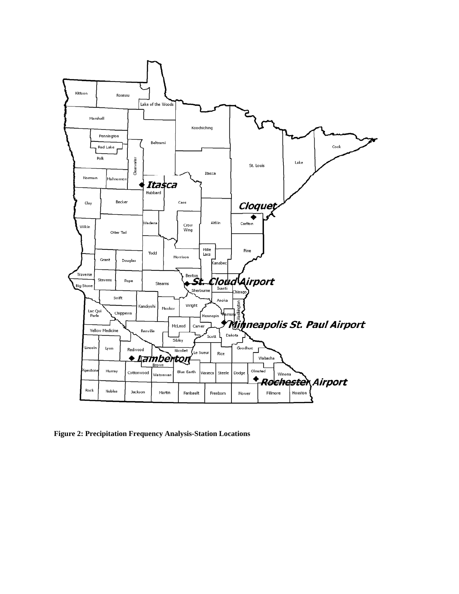

**Figure 2: Precipitation Frequency Analysis-Station Locations**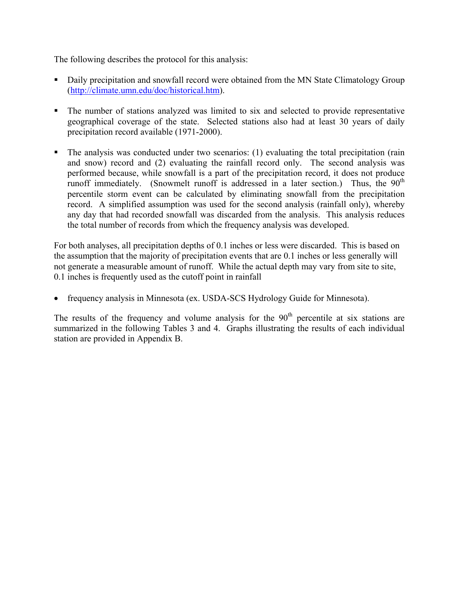The following describes the protocol for this analysis:

- Daily precipitation and snowfall record were obtained from the MN State Climatology Group (http://climate.umn.edu/doc/historical.htm).
- The number of stations analyzed was limited to six and selected to provide representative geographical coverage of the state. Selected stations also had at least 30 years of daily precipitation record available (1971-2000).
- The analysis was conducted under two scenarios: (1) evaluating the total precipitation (rain and snow) record and (2) evaluating the rainfall record only. The second analysis was performed because, while snowfall is a part of the precipitation record, it does not produce runoff immediately. (Snowmelt runoff is addressed in a later section.) Thus, the  $90<sup>th</sup>$ percentile storm event can be calculated by eliminating snowfall from the precipitation record. A simplified assumption was used for the second analysis (rainfall only), whereby any day that had recorded snowfall was discarded from the analysis. This analysis reduces the total number of records from which the frequency analysis was developed.

For both analyses, all precipitation depths of 0.1 inches or less were discarded. This is based on the assumption that the majority of precipitation events that are 0.1 inches or less generally will not generate a measurable amount of runoff. While the actual depth may vary from site to site, 0.1 inches is frequently used as the cutoff point in rainfall

• frequency analysis in Minnesota (ex. USDA-SCS Hydrology Guide for Minnesota).

The results of the frequency and volume analysis for the  $90<sup>th</sup>$  percentile at six stations are summarized in the following Tables 3 and 4. Graphs illustrating the results of each individual station are provided in Appendix B.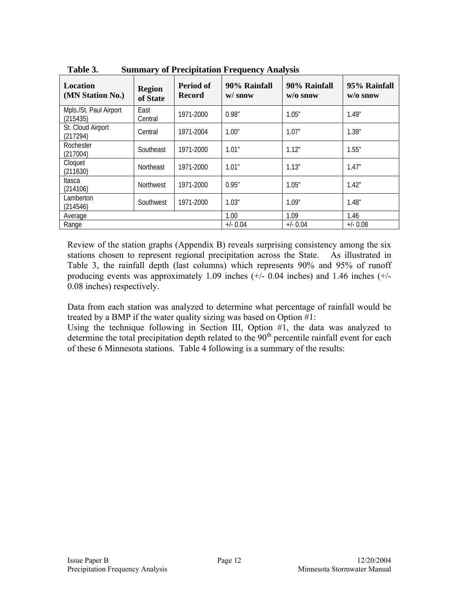| Location<br>(MN Station No.)       | <b>Region</b><br>of State | <b>Period of</b><br><b>Record</b> | 90% Rainfall<br>$w /$ snow | 90% Rainfall<br>$w/o$ snow | 95% Rainfall<br>$w/o$ snow |
|------------------------------------|---------------------------|-----------------------------------|----------------------------|----------------------------|----------------------------|
| Mpls./St. Paul Airport<br>(215435) | East<br>Central           | 1971-2000                         | 0.98"                      | 1.05''                     | 1.49"                      |
| St. Cloud Airport<br>(217294)      | Central                   | 1971-2004                         | 1.00"                      | 1.07"                      | 1.39''                     |
| Rochester<br>(217004)              | Southeast                 | 1971-2000                         | 1.01"                      | 1.12"                      | 1.55''                     |
| Cloquet<br>(211630)                | Northeast                 | 1971-2000                         | 1.01"                      | 1.13"                      | 1.47"                      |
| Itasca<br>(214106)                 | Northwest                 | 1971-2000                         | 0.95"                      | 1.05"                      | 1.42"                      |
| Lamberton<br>(214546)              | Southwest                 | 1971-2000                         | 1.03"                      | 1.09''                     | 1.48"                      |
| Average                            |                           |                                   | 1.00                       | 1.09                       | 1.46                       |
| Range                              |                           |                                   | $+/- 0.04$                 | $+/- 0.04$                 | $+/- 0.08$                 |

**Table 3. Summary of Precipitation Frequency Analysis** 

Review of the station graphs (Appendix B) reveals surprising consistency among the six stations chosen to represent regional precipitation across the State. As illustrated in Table 3, the rainfall depth (last columns) which represents 90% and 95% of runoff producing events was approximately 1.09 inches (+/- 0.04 inches) and 1.46 inches (+/- 0.08 inches) respectively.

Data from each station was analyzed to determine what percentage of rainfall would be treated by a BMP if the water quality sizing was based on Option #1:

Using the technique following in Section III, Option #1, the data was analyzed to determine the total precipitation depth related to the  $90<sup>th</sup>$  percentile rainfall event for each of these 6 Minnesota stations. Table 4 following is a summary of the results: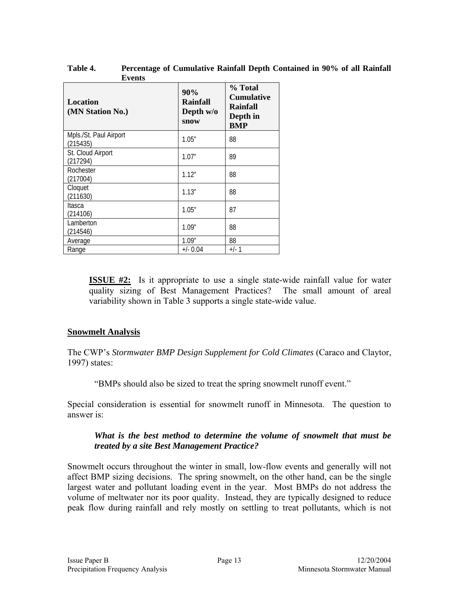| Events                             |                                             |                                                                           |  |
|------------------------------------|---------------------------------------------|---------------------------------------------------------------------------|--|
| Location<br>(MN Station No.)       | 90%<br><b>Rainfall</b><br>Depth w/o<br>snow | % Total<br><b>Cumulative</b><br><b>Rainfall</b><br>Depth in<br><b>BMP</b> |  |
| Mpls./St. Paul Airport<br>(215435) | 1.05"                                       | 88                                                                        |  |
| St. Cloud Airport<br>(217294)      | 1.07"                                       | 89                                                                        |  |
| Rochester<br>(217004)              | 1.12"                                       | 88                                                                        |  |
| Cloquet<br>(211630)                | 1.13''                                      | 88                                                                        |  |
| Itasca<br>(214106)                 | 1.05"                                       | 87                                                                        |  |
| Lamberton<br>(214546)              | 1.09"                                       | 88                                                                        |  |
| Average                            | 1.09"                                       | 88                                                                        |  |
| Range                              | $+/- 0.04$                                  | $+/-1$                                                                    |  |

**Table 4. Percentage of Cumulative Rainfall Depth Contained in 90% of all Rainfall Events** 

**ISSUE #2:** Is it appropriate to use a single state-wide rainfall value for water quality sizing of Best Management Practices? The small amount of areal variability shown in Table 3 supports a single state-wide value.

#### **Snowmelt Analysis**

The CWP's *Stormwater BMP Design Supplement for Cold Climates* (Caraco and Claytor, 1997) states:

"BMPs should also be sized to treat the spring snowmelt runoff event."

Special consideration is essential for snowmelt runoff in Minnesota. The question to answer is:

#### *What is the best method to determine the volume of snowmelt that must be treated by a site Best Management Practice?*

Snowmelt occurs throughout the winter in small, low-flow events and generally will not affect BMP sizing decisions. The spring snowmelt, on the other hand, can be the single largest water and pollutant loading event in the year. Most BMPs do not address the volume of meltwater nor its poor quality. Instead, they are typically designed to reduce peak flow during rainfall and rely mostly on settling to treat pollutants, which is not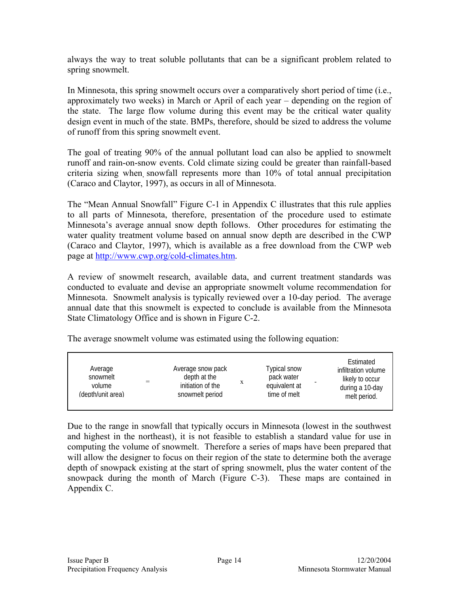always the way to treat soluble pollutants that can be a significant problem related to spring snowmelt.

In Minnesota, this spring snowmelt occurs over a comparatively short period of time (i.e., approximately two weeks) in March or April of each year – depending on the region of the state. The large flow volume during this event may be the critical water quality design event in much of the state. BMPs, therefore, should be sized to address the volume of runoff from this spring snowmelt event.

The goal of treating 90% of the annual pollutant load can also be applied to snowmelt runoff and rain-on-snow events. Cold climate sizing could be greater than rainfall-based criteria sizing when snowfall represents more than 10% of total annual precipitation (Caraco and Claytor, 1997), as occurs in all of Minnesota.

The "Mean Annual Snowfall" Figure C-1 in Appendix C illustrates that this rule applies to all parts of Minnesota, therefore, presentation of the procedure used to estimate Minnesota's average annual snow depth follows. Other procedures for estimating the water quality treatment volume based on annual snow depth are described in the CWP (Caraco and Claytor, 1997), which is available as a free download from the CWP web page at http://www.cwp.org/cold-climates.htm.

A review of snowmelt research, available data, and current treatment standards was conducted to evaluate and devise an appropriate snowmelt volume recommendation for Minnesota. Snowmelt analysis is typically reviewed over a 10-day period. The average annual date that this snowmelt is expected to conclude is available from the Minnesota State Climatology Office and is shown in Figure C-2.

The average snowmelt volume was estimated using the following equation:

| Average<br>snowmelt<br>volume<br>(depth/unit area) | Average snow pack<br>depth at the<br>X<br>initiation of the<br>snowmelt period | Typical snow<br>pack water<br>equivalent at<br>time of melt | Estimated<br>infiltration volume<br>likely to occur<br>during a 10-day<br>melt period. |
|----------------------------------------------------|--------------------------------------------------------------------------------|-------------------------------------------------------------|----------------------------------------------------------------------------------------|
|----------------------------------------------------|--------------------------------------------------------------------------------|-------------------------------------------------------------|----------------------------------------------------------------------------------------|

Due to the range in snowfall that typically occurs in Minnesota (lowest in the southwest and highest in the northeast), it is not feasible to establish a standard value for use in computing the volume of snowmelt. Therefore a series of maps have been prepared that will allow the designer to focus on their region of the state to determine both the average depth of snowpack existing at the start of spring snowmelt, plus the water content of the snowpack during the month of March (Figure C-3). These maps are contained in Appendix C.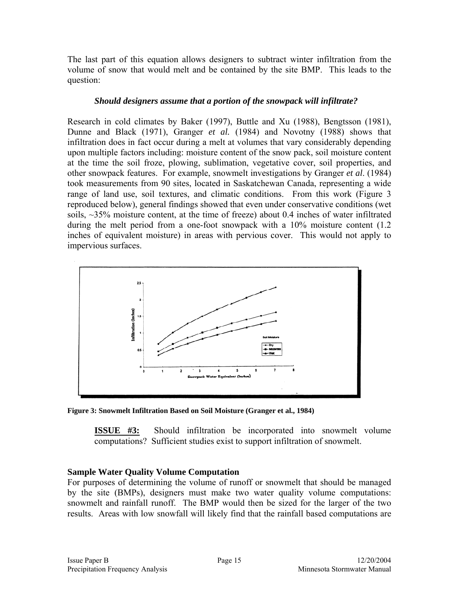The last part of this equation allows designers to subtract winter infiltration from the volume of snow that would melt and be contained by the site BMP. This leads to the question:

#### *Should designers assume that a portion of the snowpack will infiltrate?*

Research in cold climates by Baker (1997), Buttle and Xu (1988), Bengtsson (1981), Dunne and Black (1971), Granger *et al.* (1984) and Novotny (1988) shows that infiltration does in fact occur during a melt at volumes that vary considerably depending upon multiple factors including: moisture content of the snow pack, soil moisture content at the time the soil froze, plowing, sublimation, vegetative cover, soil properties, and other snowpack features. For example, snowmelt investigations by Granger *et al*. (1984) took measurements from 90 sites, located in Saskatchewan Canada, representing a wide range of land use, soil textures, and climatic conditions. From this work (Figure 3 reproduced below), general findings showed that even under conservative conditions (wet soils, ~35% moisture content, at the time of freeze) about 0.4 inches of water infiltrated during the melt period from a one-foot snowpack with a 10% moisture content (1.2) inches of equivalent moisture) in areas with pervious cover. This would not apply to impervious surfaces.



**Figure 3: Snowmelt Infiltration Based on Soil Moisture (Granger et al., 1984)** 

**ISSUE #3:** Should infiltration be incorporated into snowmelt volume computations? Sufficient studies exist to support infiltration of snowmelt.

# **Sample Water Quality Volume Computation**

For purposes of determining the volume of runoff or snowmelt that should be managed by the site (BMPs), designers must make two water quality volume computations: snowmelt and rainfall runoff. The BMP would then be sized for the larger of the two results. Areas with low snowfall will likely find that the rainfall based computations are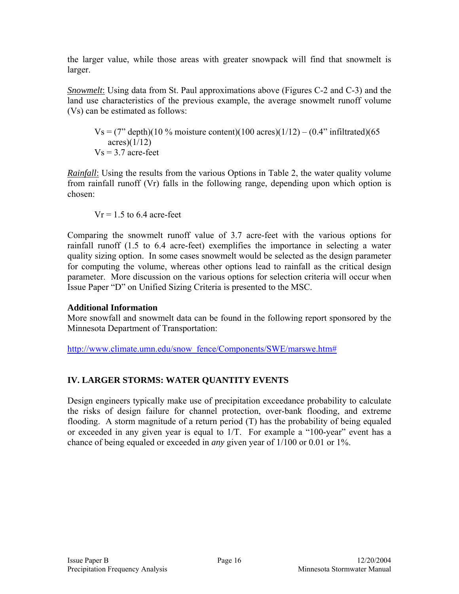the larger value, while those areas with greater snowpack will find that snowmelt is larger.

*Snowmelt*: Using data from St. Paul approximations above (Figures C-2 and C-3) and the land use characteristics of the previous example, the average snowmelt runoff volume (Vs) can be estimated as follows:

$$
Vs = (7" depth)(10\% moisture content)(100 acres)(1/12) - (0.4" inflated)(65 acres)(1/12)
$$
  
 
$$
Vs = 3.7 acre-feet
$$

*Rainfall*: Using the results from the various Options in Table 2, the water quality volume from rainfall runoff (Vr) falls in the following range, depending upon which option is chosen:

 $Vr = 1.5$  to 6.4 acre-feet

Comparing the snowmelt runoff value of 3.7 acre-feet with the various options for rainfall runoff (1.5 to 6.4 acre-feet) exemplifies the importance in selecting a water quality sizing option. In some cases snowmelt would be selected as the design parameter for computing the volume, whereas other options lead to rainfall as the critical design parameter. More discussion on the various options for selection criteria will occur when Issue Paper "D" on Unified Sizing Criteria is presented to the MSC.

#### **Additional Information**

More snowfall and snowmelt data can be found in the following report sponsored by the Minnesota Department of Transportation:

http://www.climate.umn.edu/snow\_fence/Components/SWE/marswe.htm#

# **IV. LARGER STORMS: WATER QUANTITY EVENTS**

Design engineers typically make use of precipitation exceedance probability to calculate the risks of design failure for channel protection, over-bank flooding, and extreme flooding. A storm magnitude of a return period (T) has the probability of being equaled or exceeded in any given year is equal to 1/T. For example a "100-year" event has a chance of being equaled or exceeded in *any* given year of 1/100 or 0.01 or 1%.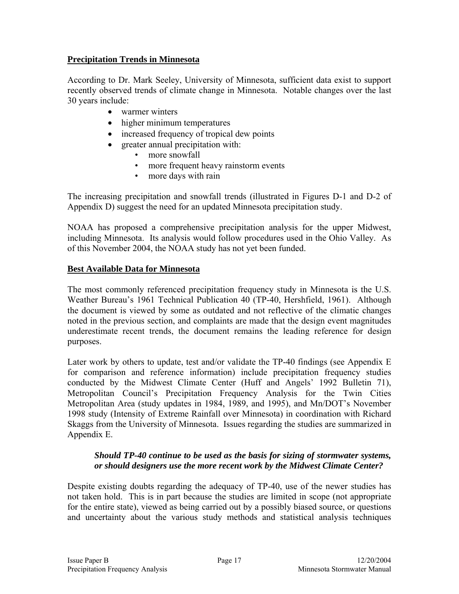# **Precipitation Trends in Minnesota**

According to Dr. Mark Seeley, University of Minnesota, sufficient data exist to support recently observed trends of climate change in Minnesota. Notable changes over the last 30 years include:

- warmer winters
- higher minimum temperatures
- increased frequency of tropical dew points
- greater annual precipitation with:
	- more snowfall
	- more frequent heavy rainstorm events
	- more days with rain

The increasing precipitation and snowfall trends (illustrated in Figures D-1 and D-2 of Appendix D) suggest the need for an updated Minnesota precipitation study.

NOAA has proposed a comprehensive precipitation analysis for the upper Midwest, including Minnesota. Its analysis would follow procedures used in the Ohio Valley. As of this November 2004, the NOAA study has not yet been funded.

# **Best Available Data for Minnesota**

The most commonly referenced precipitation frequency study in Minnesota is the U.S. Weather Bureau's 1961 Technical Publication 40 (TP-40, Hershfield, 1961). Although the document is viewed by some as outdated and not reflective of the climatic changes noted in the previous section, and complaints are made that the design event magnitudes underestimate recent trends, the document remains the leading reference for design purposes.

Later work by others to update, test and/or validate the TP-40 findings (see Appendix E for comparison and reference information) include precipitation frequency studies conducted by the Midwest Climate Center (Huff and Angels' 1992 Bulletin 71), Metropolitan Council's Precipitation Frequency Analysis for the Twin Cities Metropolitan Area (study updates in 1984, 1989, and 1995), and Mn/DOT's November 1998 study (Intensity of Extreme Rainfall over Minnesota) in coordination with Richard Skaggs from the University of Minnesota. Issues regarding the studies are summarized in Appendix E.

#### *Should TP-40 continue to be used as the basis for sizing of stormwater systems, or should designers use the more recent work by the Midwest Climate Center?*

Despite existing doubts regarding the adequacy of TP-40, use of the newer studies has not taken hold. This is in part because the studies are limited in scope (not appropriate for the entire state), viewed as being carried out by a possibly biased source, or questions and uncertainty about the various study methods and statistical analysis techniques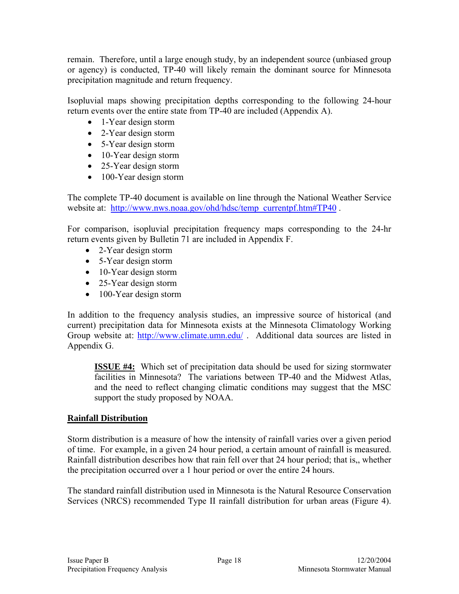remain. Therefore, until a large enough study, by an independent source (unbiased group or agency) is conducted, TP-40 will likely remain the dominant source for Minnesota precipitation magnitude and return frequency.

Isopluvial maps showing precipitation depths corresponding to the following 24-hour return events over the entire state from TP-40 are included (Appendix A).

- 1-Year design storm
- 2-Year design storm
- 5-Year design storm
- 10-Year design storm
- 25-Year design storm
- 100-Year design storm

The complete TP-40 document is available on line through the National Weather Service website at: http://www.nws.noaa.gov/ohd/hdsc/temp\_currentpf.htm#TP40.

For comparison, isopluvial precipitation frequency maps corresponding to the 24-hr return events given by Bulletin 71 are included in Appendix F.

- 2-Year design storm
- 5-Year design storm
- 10-Year design storm
- 25-Year design storm
- 100-Year design storm

In addition to the frequency analysis studies, an impressive source of historical (and current) precipitation data for Minnesota exists at the Minnesota Climatology Working Group website at: http://www.climate.umn.edu/. Additional data sources are listed in Appendix G.

**ISSUE #4:** Which set of precipitation data should be used for sizing stormwater facilities in Minnesota? The variations between TP-40 and the Midwest Atlas, and the need to reflect changing climatic conditions may suggest that the MSC support the study proposed by NOAA.

# **Rainfall Distribution**

Storm distribution is a measure of how the intensity of rainfall varies over a given period of time. For example, in a given 24 hour period, a certain amount of rainfall is measured. Rainfall distribution describes how that rain fell over that 24 hour period; that is,, whether the precipitation occurred over a 1 hour period or over the entire 24 hours.

The standard rainfall distribution used in Minnesota is the Natural Resource Conservation Services (NRCS) recommended Type II rainfall distribution for urban areas (Figure 4).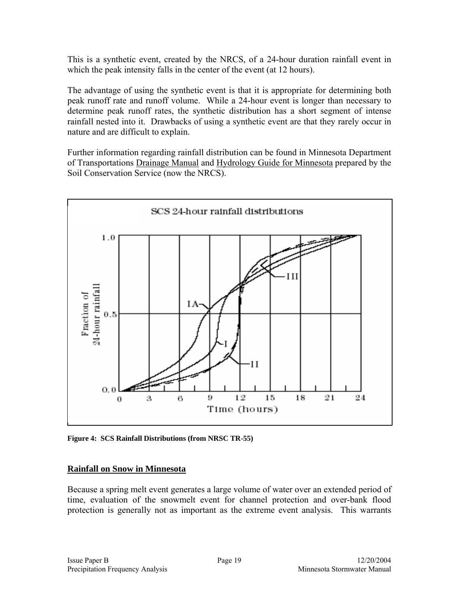This is a synthetic event, created by the NRCS, of a 24-hour duration rainfall event in which the peak intensity falls in the center of the event (at 12 hours).

The advantage of using the synthetic event is that it is appropriate for determining both peak runoff rate and runoff volume. While a 24-hour event is longer than necessary to determine peak runoff rates, the synthetic distribution has a short segment of intense rainfall nested into it. Drawbacks of using a synthetic event are that they rarely occur in nature and are difficult to explain.

Further information regarding rainfall distribution can be found in Minnesota Department of Transportations Drainage Manual and Hydrology Guide for Minnesota prepared by the Soil Conservation Service (now the NRCS).



**Figure 4: SCS Rainfall Distributions (from NRSC TR-55)** 

#### **Rainfall on Snow in Minnesota**

Because a spring melt event generates a large volume of water over an extended period of time, evaluation of the snowmelt event for channel protection and over-bank flood protection is generally not as important as the extreme event analysis. This warrants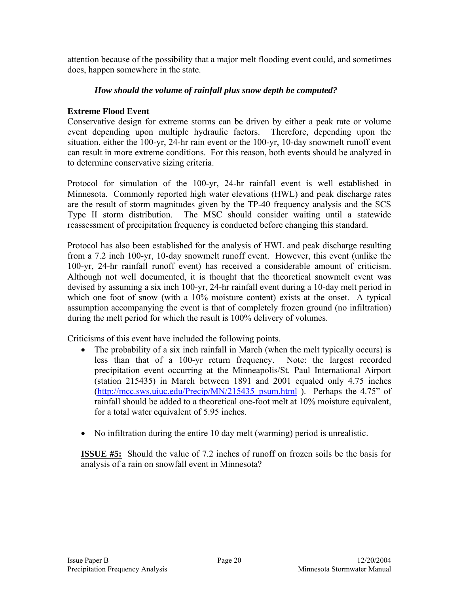attention because of the possibility that a major melt flooding event could, and sometimes does, happen somewhere in the state.

#### *How should the volume of rainfall plus snow depth be computed?*

# **Extreme Flood Event**

Conservative design for extreme storms can be driven by either a peak rate or volume event depending upon multiple hydraulic factors. Therefore, depending upon the situation, either the 100-yr, 24-hr rain event or the 100-yr, 10-day snowmelt runoff event can result in more extreme conditions. For this reason, both events should be analyzed in to determine conservative sizing criteria.

Protocol for simulation of the 100-yr, 24-hr rainfall event is well established in Minnesota. Commonly reported high water elevations (HWL) and peak discharge rates are the result of storm magnitudes given by the TP-40 frequency analysis and the SCS Type II storm distribution. The MSC should consider waiting until a statewide reassessment of precipitation frequency is conducted before changing this standard.

Protocol has also been established for the analysis of HWL and peak discharge resulting from a 7.2 inch 100-yr, 10-day snowmelt runoff event. However, this event (unlike the 100-yr, 24-hr rainfall runoff event) has received a considerable amount of criticism. Although not well documented, it is thought that the theoretical snowmelt event was devised by assuming a six inch 100-yr, 24-hr rainfall event during a 10-day melt period in which one foot of snow (with a 10% moisture content) exists at the onset. A typical assumption accompanying the event is that of completely frozen ground (no infiltration) during the melt period for which the result is 100% delivery of volumes.

Criticisms of this event have included the following points.

- The probability of a six inch rainfall in March (when the melt typically occurs) is less than that of a 100-yr return frequency. Note: the largest recorded precipitation event occurring at the Minneapolis/St. Paul International Airport (station 215435) in March between 1891 and 2001 equaled only 4.75 inches  $(http://mcc.sws.uiuc.edu/Precip/MN/215435-psum.html$ ). Perhaps the 4.75" of rainfall should be added to a theoretical one-foot melt at 10% moisture equivalent, for a total water equivalent of 5.95 inches.
- No infiltration during the entire 10 day melt (warming) period is unrealistic.

**ISSUE #5:** Should the value of 7.2 inches of runoff on frozen soils be the basis for analysis of a rain on snowfall event in Minnesota?